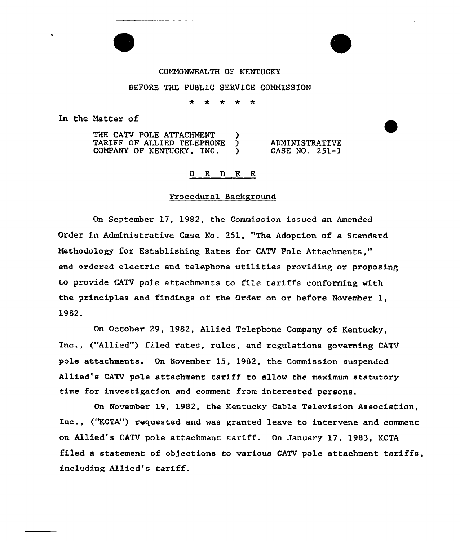## COMMONWEALTH OF KENTUCKY

### BEFORE THE PUBLIC SERVICE COMMISSION

÷ امله مله مه -4-

In the Matter of

THE CATV POLE ATTACHMENT )<br>TARIFF OF ALLIED TELEPHONE ) TARIFF OF ALLIED TELEPHONE COMPANY OF KENTUCKY,  $INC.$ ) ADMINISTRATIVE CASE NO. 251-1

### 0 R <sup>D</sup> E R

### Pxocedural Background

On September 17, 1982, the Commission issued an Amended Order in Administrative Case No. 251, "The Adoption of a Standard Methodology for Establishing Rates for CATV Pole Attachments," and ordered electric and telephone utilities providing or proposing to provide CATV pole attachments to file tariffs conforming with the principles and findings of the Order on or before November 1, 1982.

On October 29, 1982, Allied Telephone Company of Kentucky, Inc., ("Allied"} filed rates, rules, and regulations governing CATV pole attachments. On November 15, 1982, the Commission suspended Allied's CATV pole attachment tariff to allow the maximum statutory time for investigation and comment from interested persons.

On November 19, 1982, the Kentucky Cable Television Association, Inc., ("KCTA") requested and was granted leave to intervene and comment on Allied's CATV pole attachment tariff. On January 17, 1983, KCTA filed a statement of objections to various CATV pole attachment tariffs. inclvding Allied's tariff.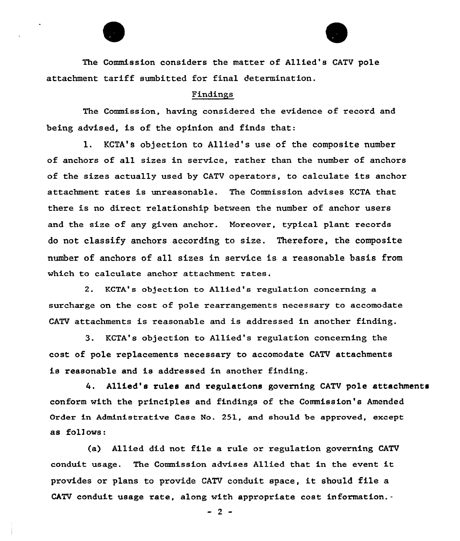The Commission considers the matter of Allied's CATV pole attachment tariff sumbitted for final determination.

#### Findings

The Commission, having considered the evidence of record and being advised, is of the opinion and finds that:

1. KCTA's objection to A11ied's use of the composite number of anchors of all sizes in service, rather than the number of anchors of the sizes actually used by CATV operators, to calculate its anchor attachment rates is unreasonable. The Commission advises KCTA that there is no direct relationship between the number of anchor users and the size of any given anchor. Moreover, typical plant records do not c1assify anchors according to size. Therefore, the composite number of anchors of all sizes in service is a reasonable basis from which to calculate anchor attachment rates.

2. KCTA's objection to Allied's regulation concerning a surcharge on the cost of pole rearrangements necessary to accomodate CATV attachments is reasonable and is addressed in another finding.

3. KCTA's objection to Allied's regulation concerning the cost of pole replacements necessary to accomodate CATV attachments is reasonable and is addressed in another finding.

Allied's rules and regulations governing CATV pole attachments conform with the principles and findings of the Commission's Amended Order in Administrative Case No. 251, and should be approved, except as follows:

(a) Allied did not file a rule or regulation governing CATV conduit usage. The Commission advises Allied that in the event it provides or plans to provide CATV conduit space, it should file <sup>a</sup> CATV conduit usage rate, along with appropriate cost information.-

 $-2$  -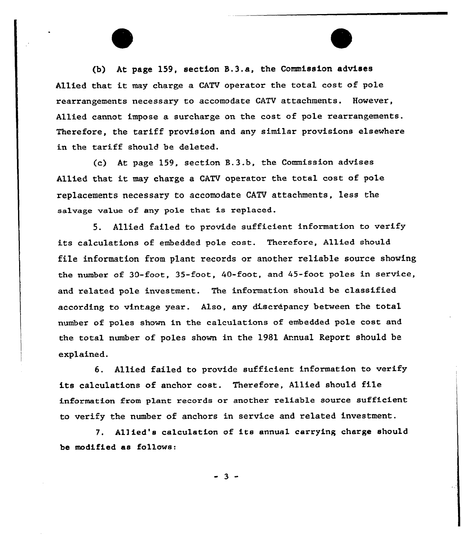(b) At page 159, section B.3.a, the Commission advises Allied that it may charge a CATV operator the total cost of pole rearrangements necessary to accomodate CATV attachments. However, Allied cannot impose a surcharge on the cost of pole rearrangements. Therefore, the tariff provision and any similar provisions elsewhere in the tariff should be deleted.

 $(c)$  At page 159, section  $B.3.b$ , the Commission advises Allied that it may charge <sup>a</sup> CATV operator the total cost of pole replacements necessary to accomodate CATV attachments, less the salvage value of any pole that is replaced.

S. Allied failed to provide sufficient information to verify its calculations of embedded pole cost. Therefore, Allied should file information from plant records or another reliable source showing the number of 30-foot, 35-foot, 40-foot, and 45-foot poles in service, and related pole investment. The information should be classified according to vintage year. Also, any discrepancy between the total number of poles shown in the calculations of embedded pole cost and the total number of poles shown in the 1981 Annual Report should be explained.

6. Allied failed to provide sufficient information to verify its calculations of anchox cost. Therefore, Allied should file information from plant records or another reliable source sufficient to verify the number of anchors in service and related investment.

7. Allied's calculation of its annua1 carrying charge should be modified as follows:

 $-3 -$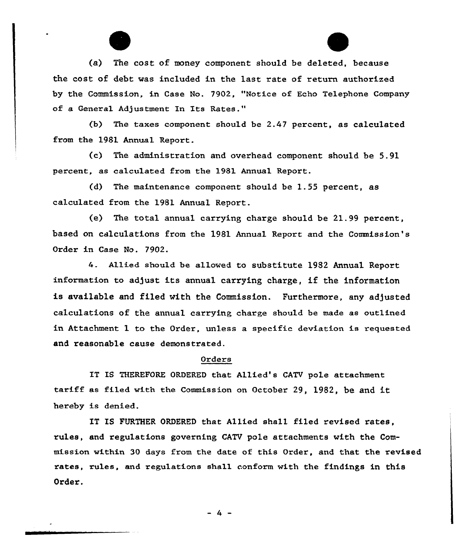(a) The cost of money component should be deleted, because the cost of debt was included in the last rate of return authorized by the Commission, in Case No. 7902, "Notice of Echo Telephone Company of a General Adjustment In Its Rates."

(b) The taxes component should be 2.47 percent, as calculated from the 1981 Annual Report.

(c) The administration and ovexhead component should be 5.91 percent, as calculated from the 1981 Annual Report.

(d) The maintenance component should be 1.55 percent, as calculated from the 1981 Annual Report.

(e) The total annua1 carrying charge should be 21.99 percent, based on calculations from the 1981 Annual Report and the Commission's Order in Case No. 7902.

4. Allied should be allowed to substitute 1982 Annual Repoxt information to adjust its annual carrying charge, if the information is available and filed with the Commission. Furthermore, any adjusted calculations of the annual caxrying charge should be made as outlined in Attachment 1 to the Order, unless a specific deviation is requested and reasonable cause demonstrated.

#### Orders

IT IS THEREFORE ORDERED that Allied's CATV pole attachment taxiff as filed with the Commission on Octobex'9, 1982, be and it hereby is denied.

IT IS FURTHER ORDERED that A11ied sha11 filed revised rates, rules, and regulations governing CATV pole attachments with the Commission within 30 days from the date of this Order, and that the revised rates, rules, and regulations shall conform with the findings in this Order.

 $-4 -$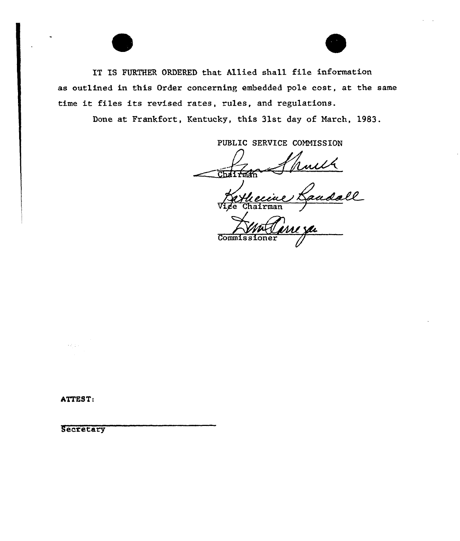IT IS FURTHER ORDERED that Allied sha11 file information as outlined in this Order concerning embedded pole cost, at the same time it files its revised rates, rules, and regulations.

Done at Frankfort, Kentucky, this 31st day of March, 1983.

PUBLIC SERVICE COMMISSION

Chairman

with<br>Jaadall Vige Chairma

**Commissi** 

ATTEST:

 $3.7 - 1.1$ 

**Secretary**